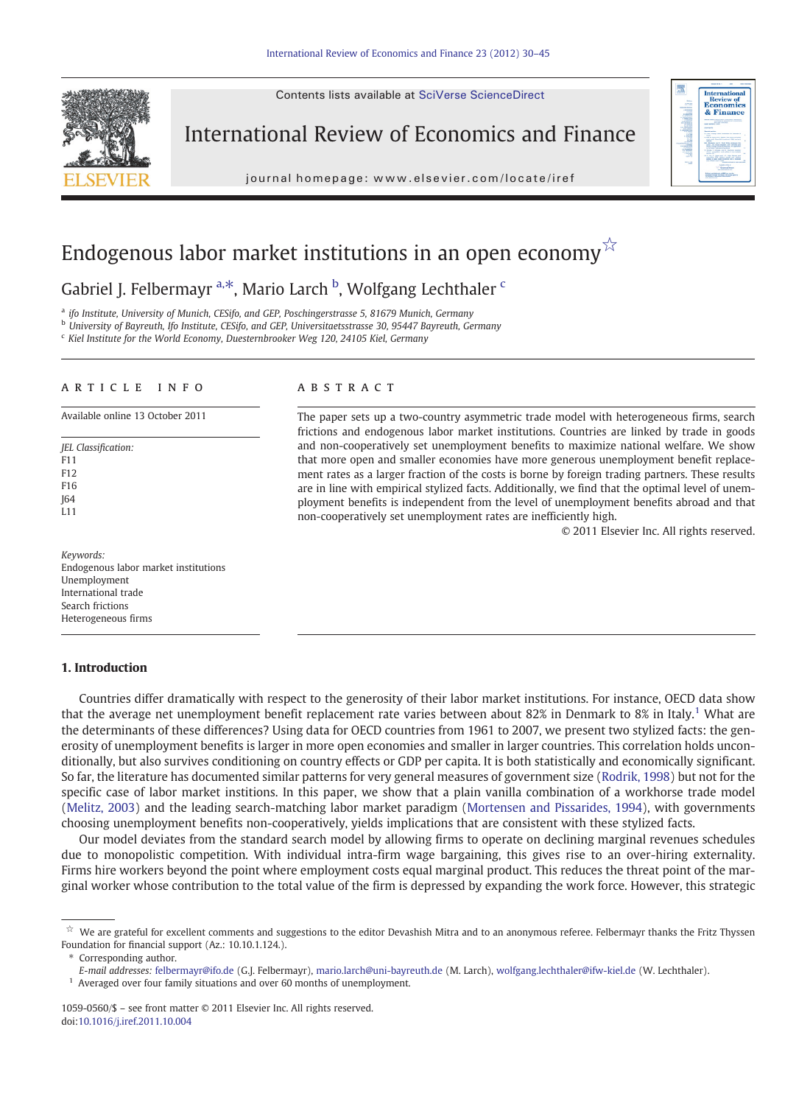Contents lists available at SciVerse ScienceDirect

## International Review of Economics and Finance

iournal homepage: www.elsevier.com/locate/iref journal homepage: www.elsevier.com/locate/iref



## Endogenous labor market institutions in an open economy $\overrightarrow{x}$

## Gabriel J. Felbermayr <sup>a,\*</sup>, Mario Larch <sup>b</sup>, Wolfgang Lechthaler <sup>c</sup>

<sup>a</sup> ifo Institute, University of Munich, CESifo, and GEP, Poschingerstrasse 5, 81679 Munich, Germany

<sup>b</sup> University of Bayreuth, Ifo Institute, CESifo, and GEP, Universitaetsstrasse 30, 95447 Bayreuth, Germany

 $c$  Kiel Institute for the World Economy, Duesternbrooker Weg 120, 24105 Kiel, Germany

### article info abstract

JEL Classification: F11 F<sub>12</sub> F16 J64

L11

Keywords: Endogenous labor market institutions Unemployment International trade Search frictions Heterogeneous firms

### 1. Introduction

Available online 13 October 2011 The paper sets up a two-country asymmetric trade model with heterogeneous firms, search frictions and endogenous labor market institutions. Countries are linked by trade in goods and non-cooperatively set unemployment benefits to maximize national welfare. We show that more open and smaller economies have more generous unemployment benefit replacement rates as a larger fraction of the costs is borne by foreign trading partners. These results are in line with empirical stylized facts. Additionally, we find that the optimal level of unemployment benefits is independent from the level of unemployment benefits abroad and that non-cooperatively set unemployment rates are inefficiently high.

© 2011 Elsevier Inc. All rights reserved.

Countries differ dramatically with respect to the generosity of their labor market institutions. For instance, OECD data show that the average net unemployment benefit replacement rate varies between about 82% in Denmark to 8% in Italy.<sup>1</sup> What are the determinants of these differences? Using data for OECD countries from 1961 to 2007, we present two stylized facts: the generosity of unemployment benefits is larger in more open economies and smaller in larger countries. This correlation holds unconditionally, but also survives conditioning on country effects or GDP per capita. It is both statistically and economically significant. So far, the literature has documented similar patterns for very general measures of government size [\(Rodrik, 1998](#page--1-0)) but not for the specific case of labor market institions. In this paper, we show that a plain vanilla combination of a workhorse trade model ([Melitz, 2003\)](#page--1-0) and the leading search-matching labor market paradigm ([Mortensen and Pissarides, 1994\)](#page--1-0), with governments choosing unemployment benefits non-cooperatively, yields implications that are consistent with these stylized facts.

Our model deviates from the standard search model by allowing firms to operate on declining marginal revenues schedules due to monopolistic competition. With individual intra-firm wage bargaining, this gives rise to an over-hiring externality. Firms hire workers beyond the point where employment costs equal marginal product. This reduces the threat point of the marginal worker whose contribution to the total value of the firm is depressed by expanding the work force. However, this strategic

Corresponding author.

 $1$  Averaged over four family situations and over 60 months of unemployment.

<sup>☆</sup> We are grateful for excellent comments and suggestions to the editor Devashish Mitra and to an anonymous referee. Felbermayr thanks the Fritz Thyssen Foundation for financial support (Az.: 10.10.1.124.).

E-mail addresses: [felbermayr@ifo.de](mailto:felbermayr@ifo.de) (G.J. Felbermayr), [mario.larch@uni-bayreuth.de](mailto:mario.larch@uni-bayreuth.de) (M. Larch), [wolfgang.lechthaler@ifw-kiel.de](mailto:wolfgang.lechthaler@ifw-kiel.de) (W. Lechthaler).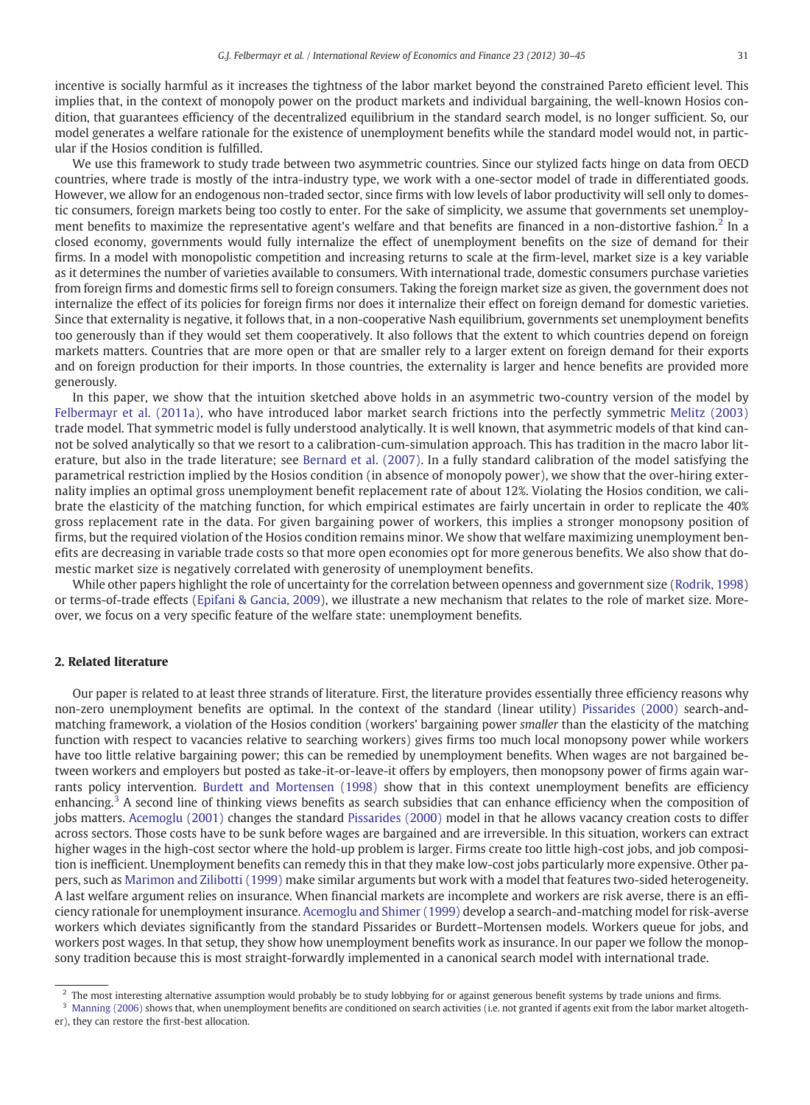incentive is socially harmful as it increases the tightness of the labor market beyond the constrained Pareto efficient level. This implies that, in the context of monopoly power on the product markets and individual bargaining, the well-known Hosios condition, that guarantees efficiency of the decentralized equilibrium in the standard search model, is no longer sufficient. So, our model generates a welfare rationale for the existence of unemployment benefits while the standard model would not, in particular if the Hosios condition is fulfilled.

We use this framework to study trade between two asymmetric countries. Since our stylized facts hinge on data from OECD countries, where trade is mostly of the intra-industry type, we work with a one-sector model of trade in differentiated goods. However, we allow for an endogenous non-traded sector, since firms with low levels of labor productivity will sell only to domestic consumers, foreign markets being too costly to enter. For the sake of simplicity, we assume that governments set unemployment benefits to maximize the representative agent's welfare and that benefits are financed in a non-distortive fashion.<sup>2</sup> In a closed economy, governments would fully internalize the effect of unemployment benefits on the size of demand for their firms. In a model with monopolistic competition and increasing returns to scale at the firm-level, market size is a key variable as it determines the number of varieties available to consumers. With international trade, domestic consumers purchase varieties from foreign firms and domestic firms sell to foreign consumers. Taking the foreign market size as given, the government does not internalize the effect of its policies for foreign firms nor does it internalize their effect on foreign demand for domestic varieties. Since that externality is negative, it follows that, in a non-cooperative Nash equilibrium, governments set unemployment benefits too generously than if they would set them cooperatively. It also follows that the extent to which countries depend on foreign markets matters. Countries that are more open or that are smaller rely to a larger extent on foreign demand for their exports and on foreign production for their imports. In those countries, the externality is larger and hence benefits are provided more generously.

In this paper, we show that the intuition sketched above holds in an asymmetric two-country version of the model by [Felbermayr et al. \(2011a\),](#page--1-0) who have introduced labor market search frictions into the perfectly symmetric [Melitz \(2003\)](#page--1-0) trade model. That symmetric model is fully understood analytically. It is well known, that asymmetric models of that kind cannot be solved analytically so that we resort to a calibration-cum-simulation approach. This has tradition in the macro labor literature, but also in the trade literature; see [Bernard et al. \(2007\).](#page--1-0) In a fully standard calibration of the model satisfying the parametrical restriction implied by the Hosios condition (in absence of monopoly power), we show that the over-hiring externality implies an optimal gross unemployment benefit replacement rate of about 12%. Violating the Hosios condition, we calibrate the elasticity of the matching function, for which empirical estimates are fairly uncertain in order to replicate the 40% gross replacement rate in the data. For given bargaining power of workers, this implies a stronger monopsony position of firms, but the required violation of the Hosios condition remains minor. We show that welfare maximizing unemployment benefits are decreasing in variable trade costs so that more open economies opt for more generous benefits. We also show that domestic market size is negatively correlated with generosity of unemployment benefits.

While other papers highlight the role of uncertainty for the correlation between openness and government size ([Rodrik, 1998\)](#page--1-0) or terms-of-trade effects ([Epifani & Gancia, 2009](#page--1-0)), we illustrate a new mechanism that relates to the role of market size. Moreover, we focus on a very specific feature of the welfare state: unemployment benefits.

#### 2. Related literature

Our paper is related to at least three strands of literature. First, the literature provides essentially three efficiency reasons why non-zero unemployment benefits are optimal. In the context of the standard (linear utility) [Pissarides \(2000\)](#page--1-0) search-andmatching framework, a violation of the Hosios condition (workers' bargaining power smaller than the elasticity of the matching function with respect to vacancies relative to searching workers) gives firms too much local monopsony power while workers have too little relative bargaining power; this can be remedied by unemployment benefits. When wages are not bargained between workers and employers but posted as take-it-or-leave-it offers by employers, then monopsony power of firms again warrants policy intervention. [Burdett and Mortensen \(1998\)](#page--1-0) show that in this context unemployment benefits are efficiency enhancing.<sup>3</sup> A second line of thinking views benefits as search subsidies that can enhance efficiency when the composition of jobs matters. [Acemoglu \(2001\)](#page--1-0) changes the standard [Pissarides \(2000\)](#page--1-0) model in that he allows vacancy creation costs to differ across sectors. Those costs have to be sunk before wages are bargained and are irreversible. In this situation, workers can extract higher wages in the high-cost sector where the hold-up problem is larger. Firms create too little high-cost jobs, and job composition is inefficient. Unemployment benefits can remedy this in that they make low-cost jobs particularly more expensive. Other papers, such as [Marimon and Zilibotti \(1999\)](#page--1-0) make similar arguments but work with a model that features two-sided heterogeneity. A last welfare argument relies on insurance. When financial markets are incomplete and workers are risk averse, there is an efficiency rationale for unemployment insurance. [Acemoglu and Shimer \(1999\)](#page--1-0) develop a search-and-matching model for risk-averse workers which deviates significantly from the standard Pissarides or Burdett–Mortensen models. Workers queue for jobs, and workers post wages. In that setup, they show how unemployment benefits work as insurance. In our paper we follow the monopsony tradition because this is most straight-forwardly implemented in a canonical search model with international trade.

 $<sup>2</sup>$  The most interesting alternative assumption would probably be to study lobbying for or against generous benefit systems by trade unions and firms.</sup>

 $3$  [Manning \(2006\)](#page--1-0) shows that, when unemployment benefits are conditioned on search activities (i.e. not granted if agents exit from the labor market altogether), they can restore the first-best allocation.